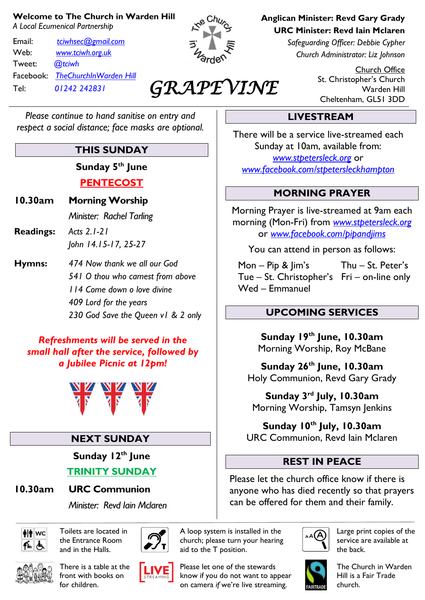#### **Welcome to The Church in Warden Hill**

*A Local Ecumenical Partnership*

Email: *[tciwhsec@gmail.com](mailto:tciwhsec@gmail.com)* Web: *[www.tciwh.org.uk](http://www.tciwh.org.uk/)* Tweet: *@tciwh* Facebook: *TheChurchInWarden Hill* Tel: *01242 242831*



*GRAPEVINE* 

**Anglican Minister: Revd Gary Grady URC Minister: Revd Iain Mclaren**

> *Safeguarding Officer: Debbie Cypher Church Administrator: Liz Johnson*

> > Church Office St. Christopher's Church Warden Hill Cheltenham, GL51 3DD

#### *Please continue to hand sanitise on entry and respect a social distance; face masks are optional.*

## **THIS SUNDAY**

**Sunday 5th June PENTECOST**

- **10.30am Morning Worship** *Minister: Rachel Tarling*
- **Readings:** *Acts 2.1-21 John 14.15-17, 25-27*
- **Hymns:** *474 Now thank we all our God 541 O thou who camest from above 114 Come down o love divine 409 Lord for the years 230 God Save the Queen v1 & 2 only*

#### *Refreshments will be served in the small hall after the service, followed by a Jubilee Picnic at 12pm!*



## **NEXT SUNDAY**

**Sunday 12th June TRINITY SUNDAY**

#### **10.30am URC Communion**

*Minister: Revd Iain Mclaren*



Toilets are located in the Entrance Room and in the Halls.



There is a table at the front with books on for children.







Please let one of the stewards know if you do not want to appear on camera *if* we're live streaming.

## **LIVESTREAM**

There will be a service live-streamed each Sunday at 10am, available from: *[www.stpetersleck.org](http://www.stpetersleck.org/)* or *[www.facebook.com/stpetersleckhampton](http://www.facebook.com/stpetersleckhampton)*

#### **MORNING PRAYER**

Morning Prayer is live-streamed at 9am each morning (Mon-Fri) from *[www.stpetersleck.org](http://www.stpetersleck.org/)* or *[www.facebook.com/pipandjims](http://www.facebook.com/pipandjims)*

You can attend in person as follows:

 Mon – Pip & Jim's Thu – St. Peter's Tue – St. Christopher's Fri – on-line only Wed – Emmanuel

#### **UPCOMING SERVICES**

**Sunday 19th June, 10.30am** Morning Worship, Roy McBane

**Sunday 26th June, 10.30am** Holy Communion, Revd Gary Grady

**Sunday 3 rd July, 10.30am** Morning Worship, Tamsyn Jenkins

**Sunday 10th July, 10.30am** URC Communion, Revd Iain Mclaren

## **REST IN PEACE**

Please let the church office know if there is anyone who has died recently so that prayers can be offered for them and their family.



Large print copies of the service are available at the back.



The Church in Warden Hill is a Fair Trade church.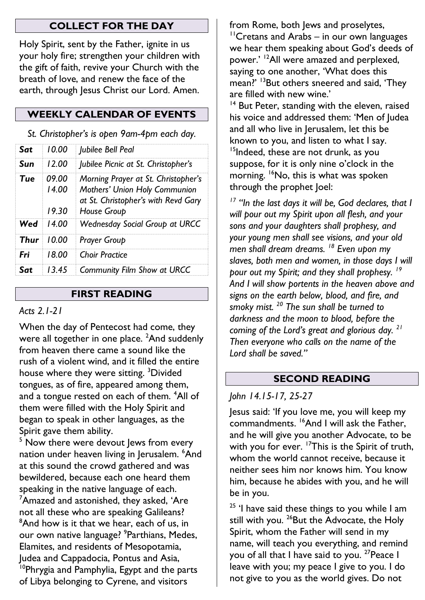#### **COLLECT FOR THE DAY**

Holy Spirit, sent by the Father, ignite in us your holy fire; strengthen your children with the gift of faith, revive your Church with the breath of love, and renew the face of the earth, through Jesus Christ our Lord. Amen.

## **WEEKLY CALENDAR OF EVENTS**

*St. Christopher's is open 9am-4pm each day.*

| Sat  | 10.00                   | Jubilee Bell Peal                                                                                                          |
|------|-------------------------|----------------------------------------------------------------------------------------------------------------------------|
| Sun  | 12 OO                   | Jubilee Picnic at St. Christopher's                                                                                        |
| Tue  | 09 OO<br>14.00<br>19.30 | Morning Prayer at St. Christopher's<br>Mothers' Union Holy Communion<br>at St. Christopher's with Revd Gary<br>House Group |
| Wed  | 14 OO                   | <b>Wednesday Social Group at URCC</b>                                                                                      |
| Thur | 10.00                   | <b>Prayer Group</b>                                                                                                        |
| Fri  | 18.00                   | <b>Choir Practice</b>                                                                                                      |
| Sat  | 1345                    | <b>Community Film Show at URCC</b>                                                                                         |

#### **FIRST READING**

## *Acts 2.1-21*

When the day of Pentecost had come, they were all together in one place. <sup>2</sup>And suddenly from heaven there came a sound like the rush of a violent wind, and it filled the entire house where they were sitting. <sup>3</sup>Divided tongues, as of fire, appeared among them, and a tongue rested on each of them. <sup>4</sup>All of them were filled with the Holy Spirit and began to speak in other languages, as the Spirit gave them ability.

 $5$  Now there were devout lews from every nation under heaven living in Jerusalem. <sup>6</sup>And at this sound the crowd gathered and was bewildered, because each one heard them speaking in the native language of each. <sup>7</sup>Amazed and astonished, they asked, 'Are not all these who are speaking Galileans? <sup>8</sup>And how is it that we hear, each of us, in our own native language? <sup>9</sup> Parthians, Medes, Elamites, and residents of Mesopotamia, Judea and Cappadocia, Pontus and Asia, <sup>10</sup>Phrygia and Pamphylia, Egypt and the parts of Libya belonging to Cyrene, and visitors

from Rome, both Jews and proselytes, <sup>11</sup>Cretans and Arabs – in our own languages we hear them speaking about God's deeds of power.' <sup>12</sup>All were amazed and perplexed, saying to one another, 'What does this mean?' <sup>13</sup>But others sneered and said, 'They are filled with new wine.'

<sup>14</sup> But Peter, standing with the eleven, raised his voice and addressed them: 'Men of Judea and all who live in Jerusalem, let this be known to you, and listen to what I say. <sup>15</sup>Indeed, these are not drunk, as you suppose, for it is only nine o'clock in the morning. <sup>16</sup>No, this is what was spoken through the prophet Joel:

*<sup>17</sup> "In the last days it will be, God declares, that I will pour out my Spirit upon all flesh, and your sons and your daughters shall prophesy, and your young men shall see visions, and your old men shall dream dreams. <sup>18</sup> Even upon my slaves, both men and women, in those days I will pour out my Spirit; and they shall prophesy. <sup>19</sup> And I will show portents in the heaven above and signs on the earth below, blood, and fire, and smoky mist. <sup>20</sup> The sun shall be turned to darkness and the moon to blood, before the coming of the Lord's great and glorious day. <sup>21</sup> Then everyone who calls on the name of the Lord shall be saved."* 

## **SECOND READING**

## *John 14.15-17, 25-27*

Jesus said: 'If you love me, you will keep my commandments. <sup>16</sup>And I will ask the Father, and he will give you another Advocate, to be with you for ever. <sup>17</sup>This is the Spirit of truth, whom the world cannot receive, because it neither sees him nor knows him. You know him, because he abides with you, and he will be in you.

 $25$  'I have said these things to you while I am still with you. <sup>26</sup>But the Advocate, the Holy Spirit, whom the Father will send in my name, will teach you everything, and remind you of all that I have said to you. <sup>27</sup> Peace I leave with you; my peace I give to you. I do not give to you as the world gives. Do not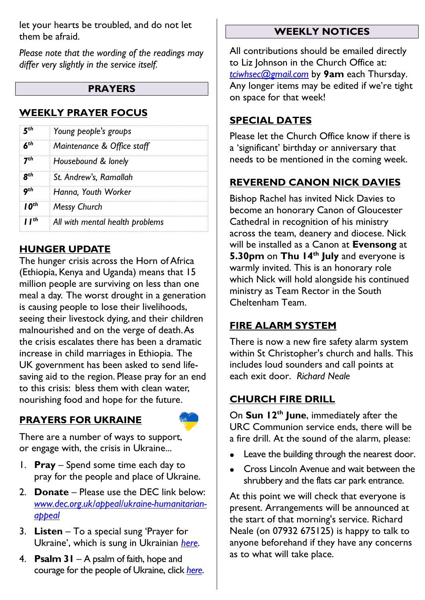let your hearts be troubled, and do not let them be afraid.

*Please note that the wording of the readings may differ very slightly in the service itself.*

#### **PRAYERS**

#### **WEEKLY PRAYER FOCUS**

|            | Young people's groups           |  |
|------------|---------------------------------|--|
|            | Maintenance & Office staff      |  |
|            | Housebound & lonely             |  |
|            | St. Andrew's, Ramallah          |  |
|            | Hanna, Youth Worker             |  |
| ∩th        | <b>Messy Church</b>             |  |
| <b>Tth</b> | All with mental health problems |  |

#### **HUNGER UPDATE**

The hunger crisis across the Horn of Africa (Ethiopia, Kenya and Uganda) means that 15 million people are surviving on less than one meal a day. The worst drought in a generation is causing people to lose their livelihoods, seeing their livestock dying, and their children malnourished and on the verge of death. As the crisis escalates there has been a dramatic increase in child marriages in Ethiopia. The UK government has been asked to send lifesaving aid to the region. Please pray for an end to this crisis: bless them with clean water, nourishing food and hope for the future.

#### **PRAYERS FOR UKRAINE**



There are a number of ways to support, or engage with, the crisis in Ukraine...

- 1. **Pray** Spend some time each day to pray for the people and place of Ukraine.
- 2. **Donate** Please use the DEC link below: *[www.dec.org.uk/appeal/ukraine-humanitarian](http://www.dec.org.uk/appeal/ukraine-humanitarian-appeal)[appeal](http://www.dec.org.uk/appeal/ukraine-humanitarian-appeal)*
- 3. **Listen** To a special sung 'Prayer for Ukraine', which is sung in Ukrainian *[here](https://stpetersleck.org/wp-content/uploads/2022/03/Prayer-for-Ukraine_St-Peters-Choir_MP3.mp3)*.
- 4. **Psalm 31** A psalm of faith, hope and courage for the people of Ukraine, click *[here](https://stpetersleck.org/psalm_31_ukraine-720p/)*.

#### **WEEKLY NOTICES**

All contributions should be emailed directly to Liz Johnson in the Church Office at: *[tciwhsec@gmail.com](mailto:tciwhsec@gmail.com)* by **9am** each Thursday. Any longer items may be edited if we're tight on space for that week!

## **SPECIAL DATES**

Please let the Church Office know if there is a 'significant' birthday or anniversary that needs to be mentioned in the coming week.

## **REVEREND CANON NICK DAVIES**

Bishop Rachel has invited Nick Davies to become an honorary Canon of Gloucester Cathedral in recognition of his ministry across the team, deanery and diocese. Nick will be installed as a Canon at **Evensong** at **5.30pm** on **Thu 14th July** and everyone is warmly invited. This is an honorary role which Nick will hold alongside his continued ministry as Team Rector in the South Cheltenham Team.

## **FIRE ALARM SYSTEM**

There is now a new fire safety alarm system within St Christopher's church and halls. This includes loud sounders and call points at each exit door. *Richard Neale*

## **CHURCH FIRE DRILL**

On **Sun 12th June**, immediately after the URC Communion service ends, there will be a fire drill. At the sound of the alarm, please:

- **Leave the building through the nearest door.**
- Cross Lincoln Avenue and wait between the shrubbery and the flats car park entrance.

At this point we will check that everyone is present. Arrangements will be announced at the start of that morning's service. Richard Neale (on 07932 675125) is happy to talk to anyone beforehand if they have any concerns as to what will take place.